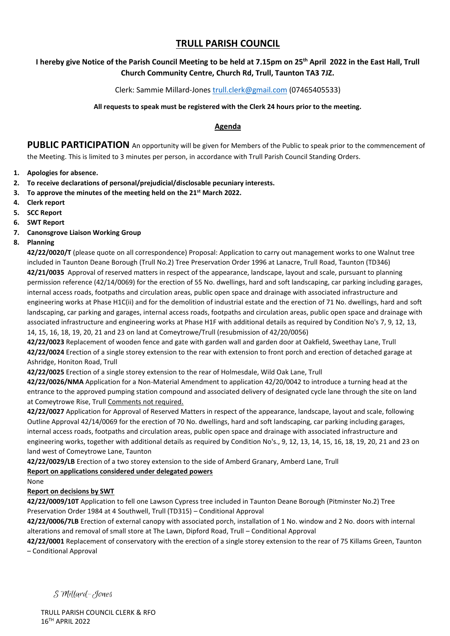# **TRULL PARISH COUNCIL**

## **I hereby give Notice of the Parish Council Meeting to be held at 7.15pm on 25th April 2022 in the East Hall, Trull Church Community Centre, Church Rd, Trull, Taunton TA3 7JZ.**

### Clerk: Sammie Millard-Jones [trull.clerk@gmail.com](mailto:trull.clerk@gmail.com) (07465405533)

#### **All requests to speak must be registered with the Clerk 24 hours prior to the meeting.**

#### **Agenda**

**PUBLIC PARTICIPATION** An opportunity will be given for Members of the Public to speak prior to the commencement of the Meeting. This is limited to 3 minutes per person, in accordance with Trull Parish Council Standing Orders.

- **1. Apologies for absence.**
- **2. To receive declarations of personal/prejudicial/disclosable pecuniary interests.**
- **3. To approve the minutes of the meeting held on the 21st March 2022.**
- **4. Clerk report**
- **5. SCC Report**
- **6. SWT Report**
- **7. Canonsgrove Liaison Working Group**
- **8. Planning**

**42/22/0020/T** (please quote on all correspondence) Proposal: Application to carry out management works to one Walnut tree included in Taunton Deane Borough (Trull No.2) Tree Preservation Order 1996 at Lanacre, Trull Road, Taunton (TD346) **42/21/0035** Approval of reserved matters in respect of the appearance, landscape, layout and scale, pursuant to planning permission reference (42/14/0069) for the erection of 55 No. dwellings, hard and soft landscaping, car parking including garages, internal access roads, footpaths and circulation areas, public open space and drainage with associated infrastructure and engineering works at Phase H1C(ii) and for the demolition of industrial estate and the erection of 71 No. dwellings, hard and soft landscaping, car parking and garages, internal access roads, footpaths and circulation areas, public open space and drainage with associated infrastructure and engineering works at Phase H1F with additional details as required by Condition No's 7, 9, 12, 13, 14, 15, 16, 18, 19, 20, 21 and 23 on land at Comeytrowe/Trull (resubmission of 42/20/0056)

**42/22/0023** Replacement of wooden fence and gate with garden wall and garden door at Oakfield, Sweethay Lane, Trull **42/22/0024** Erection of a single storey extension to the rear with extension to front porch and erection of detached garage at Ashridge, Honiton Road, Trull

**42/22/0025** Erection of a single storey extension to the rear of Holmesdale, Wild Oak Lane, Trull

**42/22/0026/NMA** Application for a Non-Material Amendment to application 42/20/0042 to introduce a turning head at the entrance to the approved pumping station compound and associated delivery of designated cycle lane through the site on land at Comeytrowe Rise, Trull Comments not required.

**42/22/0027** Application for Approval of Reserved Matters in respect of the appearance, landscape, layout and scale, following Outline Approval 42/14/0069 for the erection of 70 No. dwellings, hard and soft landscaping, car parking including garages, internal access roads, footpaths and circulation areas, public open space and drainage with associated infrastructure and engineering works, together with additional details as required by Condition No's., 9, 12, 13, 14, 15, 16, 18, 19, 20, 21 and 23 on land west of Comeytrowe Lane, Taunton

**42/22/0029/LB** Erection of a two storey extension to the side of Amberd Granary, Amberd Lane, Trull

### **Report on applications considered under delegated powers**

None

### **Report on decisions by SWT**

**42/22/0009/10T** Application to fell one Lawson Cypress tree included in Taunton Deane Borough (Pitminster No.2) Tree Preservation Order 1984 at 4 Southwell, Trull (TD315) – Conditional Approval

**42/22/0006/7LB** Erection of external canopy with associated porch, installation of 1 No. window and 2 No. doors with internal alterations and removal of small store at The Lawn, Dipford Road, Trull – Conditional Approval

**42/22/0001** Replacement of conservatory with the erection of a single storey extension to the rear of 75 Killams Green, Taunton – Conditional Approval

S Millard-Jones